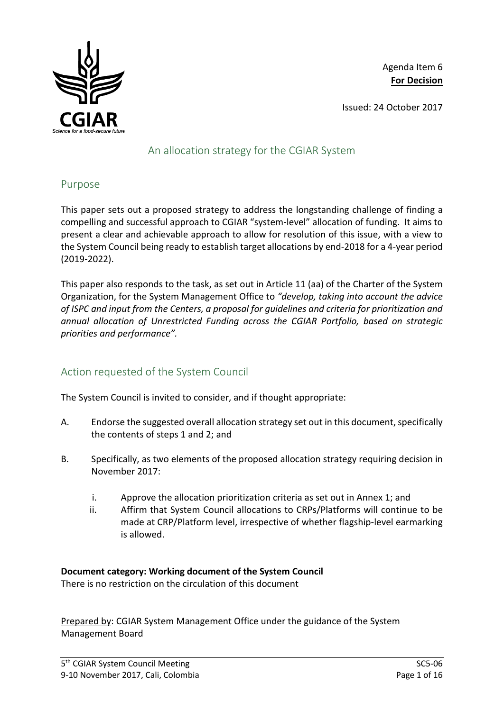

Agenda Item 6 **For Decision**

Issued: 24 October 2017

# An allocation strategy for the CGIAR System

## Purpose

This paper sets out a proposed strategy to address the longstanding challenge of finding a compelling and successful approach to CGIAR "system-level" allocation of funding. It aims to present a clear and achievable approach to allow for resolution of this issue, with a view to the System Council being ready to establish target allocations by end-2018 for a 4-year period (2019-2022).

This paper also responds to the task, as set out in Article 11 (aa) of the Charter of the System Organization, for the System Management Office to *"develop, taking into account the advice of ISPC and input from the Centers, a proposal for guidelines and criteria for prioritization and annual allocation of Unrestricted Funding across the CGIAR Portfolio, based on strategic priorities and performance".*

# Action requested of the System Council

The System Council is invited to consider, and if thought appropriate:

- A. Endorse the suggested overall allocation strategy set out in this document, specifically the contents of steps 1 and 2; and
- B. Specifically, as two elements of the proposed allocation strategy requiring decision in November 2017:
	- i. Approve the allocation prioritization criteria as set out in Annex 1; and
	- ii. Affirm that System Council allocations to CRPs/Platforms will continue to be made at CRP/Platform level, irrespective of whether flagship-level earmarking is allowed.

### **Document category: Working document of the System Council**

There is no restriction on the circulation of this document

Prepared by: CGIAR System Management Office under the guidance of the System Management Board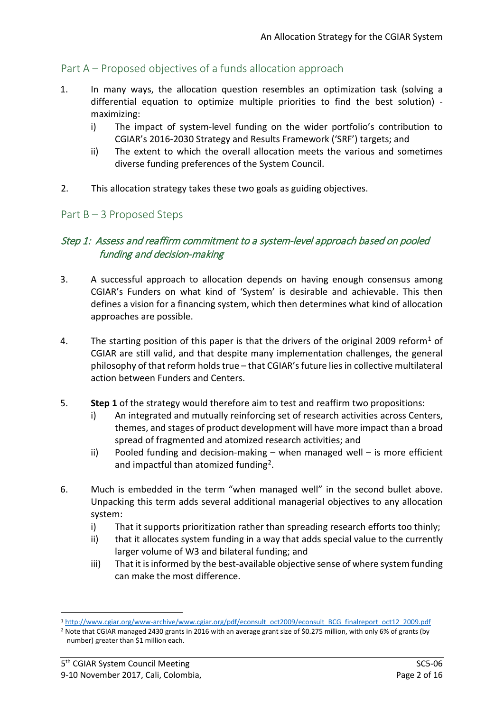# Part A – Proposed objectives of a funds allocation approach

- 1. In many ways, the allocation question resembles an optimization task (solving a differential equation to optimize multiple priorities to find the best solution) maximizing:
	- i) The impact of system-level funding on the wider portfolio's contribution to CGIAR's 2016-2030 Strategy and Results Framework ('SRF') targets; and
	- ii) The extent to which the overall allocation meets the various and sometimes diverse funding preferences of the System Council.
- 2. This allocation strategy takes these two goals as guiding objectives.

### Part B – 3 Proposed Steps

## Step 1: Assess and reaffirm commitment to a system-level approach based on pooled funding and decision-making

- 3. A successful approach to allocation depends on having enough consensus among CGIAR's Funders on what kind of 'System' is desirable and achievable. This then defines a vision for a financing system, which then determines what kind of allocation approaches are possible.
- 4. The starting position of this paper is that the drivers of the original 2009 reform<sup>[1](#page-1-0)</sup> of CGIAR are still valid, and that despite many implementation challenges, the general philosophy of that reform holds true – that CGIAR's future lies in collective multilateral action between Funders and Centers.
- 5. **Step 1** of the strategy would therefore aim to test and reaffirm two propositions:
	- i) An integrated and mutually reinforcing set of research activities across Centers, themes, and stages of product development will have more impact than a broad spread of fragmented and atomized research activities; and
	- ii) Pooled funding and decision-making when managed well is more efficient and impactful than atomized funding[2.](#page-1-1)
- 6. Much is embedded in the term "when managed well" in the second bullet above. Unpacking this term adds several additional managerial objectives to any allocation system:
	- i) That it supports prioritization rather than spreading research efforts too thinly;
	- ii) that it allocates system funding in a way that adds special value to the currently larger volume of W3 and bilateral funding; and
	- iii) That it is informed by the best-available objective sense of where system funding can make the most difference.

<span id="page-1-0"></span> <sup>1</sup> [http://www.cgiar.org/www-archive/www.cgiar.org/pdf/econsult\\_oct2009/econsult\\_BCG\\_finalreport\\_oct12\\_2009.pdf](http://www.cgiar.org/www-archive/www.cgiar.org/pdf/econsult_oct2009/econsult_BCG_finalreport_oct12_2009.pdf)

<span id="page-1-1"></span><sup>&</sup>lt;sup>2</sup> Note that CGIAR managed 2430 grants in 2016 with an average grant size of \$0.275 million, with only 6% of grants (by number) greater than \$1 million each.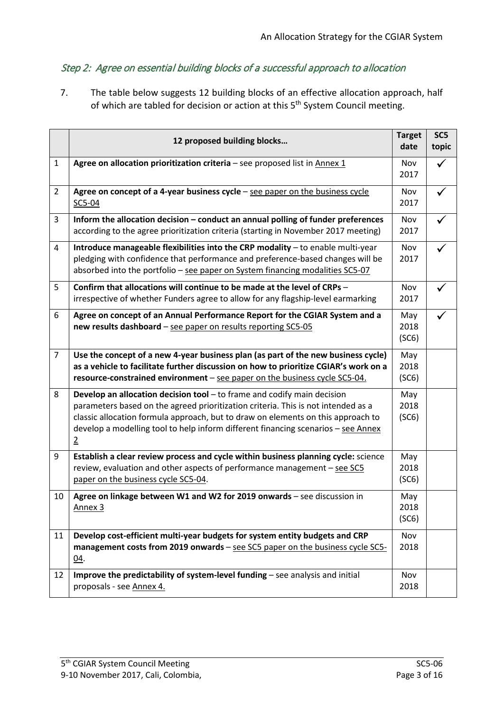# Step 2: Agree on essential building blocks of a successful approach to allocation

7. The table below suggests 12 building blocks of an effective allocation approach, half of which are tabled for decision or action at this 5th System Council meeting.

|                | 12 proposed building blocks                                                                                                                                                                                                                                                                                                                               | <b>Target</b><br>date | SC <sub>5</sub><br>topic |
|----------------|-----------------------------------------------------------------------------------------------------------------------------------------------------------------------------------------------------------------------------------------------------------------------------------------------------------------------------------------------------------|-----------------------|--------------------------|
| $\mathbf{1}$   | Agree on allocation prioritization criteria - see proposed list in $\Delta$ nnex 1                                                                                                                                                                                                                                                                        | Nov<br>2017           | ✓                        |
| $\overline{2}$ | Agree on concept of a 4-year business cycle - see paper on the business cycle<br>SC5-04                                                                                                                                                                                                                                                                   | Nov<br>2017           | $\checkmark$             |
| 3              | Inform the allocation decision - conduct an annual polling of funder preferences<br>according to the agree prioritization criteria (starting in November 2017 meeting)                                                                                                                                                                                    | Nov<br>2017           |                          |
| 4              | Introduce manageable flexibilities into the CRP modality - to enable multi-year<br>pledging with confidence that performance and preference-based changes will be<br>absorbed into the portfolio - see paper on System financing modalities SC5-07                                                                                                        | Nov<br>2017           | $\checkmark$             |
| 5              | Confirm that allocations will continue to be made at the level of CRPs -<br>irrespective of whether Funders agree to allow for any flagship-level earmarking                                                                                                                                                                                              | Nov<br>2017           | $\checkmark$             |
| 6              | Agree on concept of an Annual Performance Report for the CGIAR System and a<br>new results dashboard - see paper on results reporting SC5-05                                                                                                                                                                                                              | May<br>2018<br>(SC6)  |                          |
| $\overline{7}$ | Use the concept of a new 4-year business plan (as part of the new business cycle)<br>as a vehicle to facilitate further discussion on how to prioritize CGIAR's work on a<br>resource-constrained environment - see paper on the business cycle SC5-04.                                                                                                   | May<br>2018<br>(SC6)  |                          |
| 8              | Develop an allocation decision tool $-$ to frame and codify main decision<br>parameters based on the agreed prioritization criteria. This is not intended as a<br>classic allocation formula approach, but to draw on elements on this approach to<br>develop a modelling tool to help inform different financing scenarios - see Annex<br>$\overline{2}$ | May<br>2018<br>(SC6)  |                          |
| 9              | Establish a clear review process and cycle within business planning cycle: science<br>review, evaluation and other aspects of performance management - see SC5<br>paper on the business cycle SC5-04.                                                                                                                                                     | May<br>2018<br>(SC6)  |                          |
| 10             | Agree on linkage between W1 and W2 for 2019 onwards - see discussion in<br>Annex <sub>3</sub>                                                                                                                                                                                                                                                             | May<br>2018<br>(SC6)  |                          |
| 11             | Develop cost-efficient multi-year budgets for system entity budgets and CRP<br>management costs from 2019 onwards - see SC5 paper on the business cycle SC5-<br>04.                                                                                                                                                                                       | Nov<br>2018           |                          |
| 12             | Improve the predictability of system-level funding - see analysis and initial<br>proposals - see Annex 4.                                                                                                                                                                                                                                                 | Nov<br>2018           |                          |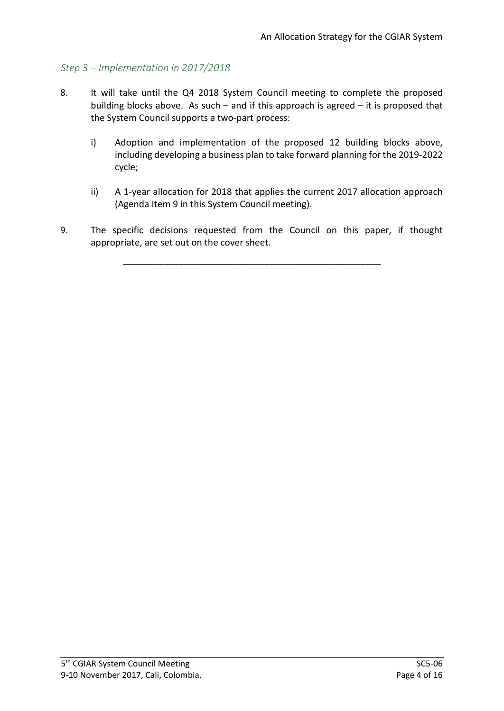## *Step 3 – Implementation in 2017/2018*

- 8. It will take until the Q4 2018 System Council meeting to complete the proposed building blocks above. As such – and if this approach is agreed – it is proposed that the System Council supports a two-part process:
	- i) Adoption and implementation of the proposed 12 building blocks above, including developing a business plan to take forward planning for the 2019-2022 cycle;
	- ii) A 1-year allocation for 2018 that applies the current 2017 allocation approach (Agenda Item 9 in this System Council meeting).
- 9. The specific decisions requested from the Council on this paper, if thought appropriate, are set out on the cover sheet.

\_\_\_\_\_\_\_\_\_\_\_\_\_\_\_\_\_\_\_\_\_\_\_\_\_\_\_\_\_\_\_\_\_\_\_\_\_\_\_\_\_\_\_\_\_\_\_\_\_\_\_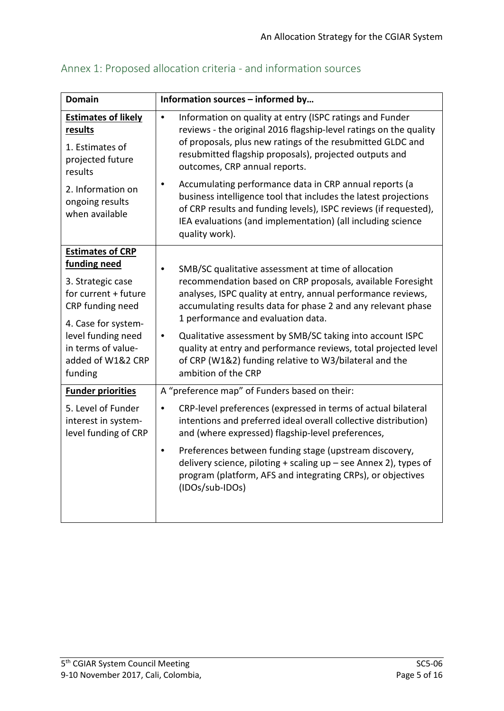| <b>Domain</b>                                                                                                                                                                                               | Information sources - informed by                                                                                                                                                                                                                                                                                                                                                                                                                                                                                                                                                                  |  |  |  |
|-------------------------------------------------------------------------------------------------------------------------------------------------------------------------------------------------------------|----------------------------------------------------------------------------------------------------------------------------------------------------------------------------------------------------------------------------------------------------------------------------------------------------------------------------------------------------------------------------------------------------------------------------------------------------------------------------------------------------------------------------------------------------------------------------------------------------|--|--|--|
| <b>Estimates of likely</b><br>results<br>1. Estimates of<br>projected future<br>results<br>2. Information on<br>ongoing results<br>when available                                                           | Information on quality at entry (ISPC ratings and Funder<br>$\bullet$<br>reviews - the original 2016 flagship-level ratings on the quality<br>of proposals, plus new ratings of the resubmitted GLDC and<br>resubmitted flagship proposals), projected outputs and<br>outcomes, CRP annual reports.<br>Accumulating performance data in CRP annual reports (a<br>$\bullet$<br>business intelligence tool that includes the latest projections<br>of CRP results and funding levels), ISPC reviews (if requested),<br>IEA evaluations (and implementation) (all including science<br>quality work). |  |  |  |
| <b>Estimates of CRP</b><br>funding need<br>3. Strategic case<br>for current + future<br>CRP funding need<br>4. Case for system-<br>level funding need<br>in terms of value-<br>added of W1&2 CRP<br>funding | SMB/SC qualitative assessment at time of allocation<br>recommendation based on CRP proposals, available Foresight<br>analyses, ISPC quality at entry, annual performance reviews,<br>accumulating results data for phase 2 and any relevant phase<br>1 performance and evaluation data.<br>Qualitative assessment by SMB/SC taking into account ISPC<br>$\bullet$<br>quality at entry and performance reviews, total projected level<br>of CRP (W1&2) funding relative to W3/bilateral and the<br>ambition of the CRP                                                                              |  |  |  |
| <b>Funder priorities</b><br>5. Level of Funder<br>interest in system-<br>level funding of CRP                                                                                                               | A "preference map" of Funders based on their:<br>CRP-level preferences (expressed in terms of actual bilateral<br>$\bullet$<br>intentions and preferred ideal overall collective distribution)<br>and (where expressed) flagship-level preferences,<br>Preferences between funding stage (upstream discovery,<br>$\bullet$<br>delivery science, piloting + scaling up - see Annex 2), types of<br>program (platform, AFS and integrating CRPs), or objectives<br>(IDOs/sub-IDOs)                                                                                                                   |  |  |  |

# Annex 1: Proposed allocation criteria - and information sources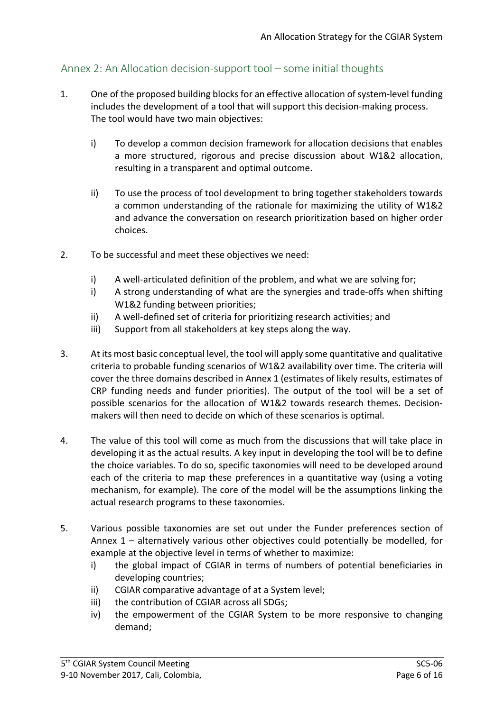# Annex 2: An Allocation decision-support tool – some initial thoughts

- 1. One of the proposed building blocks for an effective allocation of system-level funding includes the development of a tool that will support this decision-making process. The tool would have two main objectives:
	- i) To develop a common decision framework for allocation decisions that enables a more structured, rigorous and precise discussion about W1&2 allocation, resulting in a transparent and optimal outcome.
	- ii) To use the process of tool development to bring together stakeholders towards a common understanding of the rationale for maximizing the utility of W1&2 and advance the conversation on research prioritization based on higher order choices.
- 2. To be successful and meet these objectives we need:
	- i) A well-articulated definition of the problem, and what we are solving for;
	- i) A strong understanding of what are the synergies and trade-offs when shifting W1&2 funding between priorities;
	- ii) A well-defined set of criteria for prioritizing research activities; and
	- iii) Support from all stakeholders at key steps along the way.
- 3. At its most basic conceptual level, the tool will apply some quantitative and qualitative criteria to probable funding scenarios of W1&2 availability over time. The criteria will cover the three domains described in Annex 1 (estimates of likely results, estimates of CRP funding needs and funder priorities). The output of the tool will be a set of possible scenarios for the allocation of W1&2 towards research themes. Decisionmakers will then need to decide on which of these scenarios is optimal.
- 4. The value of this tool will come as much from the discussions that will take place in developing it as the actual results. A key input in developing the tool will be to define the choice variables. To do so, specific taxonomies will need to be developed around each of the criteria to map these preferences in a quantitative way (using a voting mechanism, for example). The core of the model will be the assumptions linking the actual research programs to these taxonomies.
- 5. Various possible taxonomies are set out under the Funder preferences section of Annex 1 – alternatively various other objectives could potentially be modelled, for example at the objective level in terms of whether to maximize:
	- i) the global impact of CGIAR in terms of numbers of potential beneficiaries in developing countries;
	- ii) CGIAR comparative advantage of at a System level;
	- iii) the contribution of CGIAR across all SDGs;
	- iv) the empowerment of the CGIAR System to be more responsive to changing demand;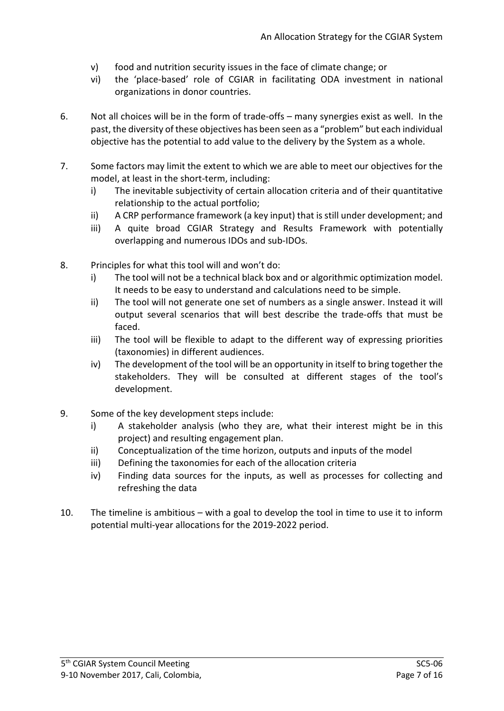- v) food and nutrition security issues in the face of climate change; or
- vi) the 'place-based' role of CGIAR in facilitating ODA investment in national organizations in donor countries.
- 6. Not all choices will be in the form of trade-offs many synergies exist as well. In the past, the diversity of these objectives has been seen as a "problem" but each individual objective has the potential to add value to the delivery by the System as a whole.
- 7. Some factors may limit the extent to which we are able to meet our objectives for the model, at least in the short-term, including:
	- i) The inevitable subjectivity of certain allocation criteria and of their quantitative relationship to the actual portfolio;
	- ii) A CRP performance framework (a key input) that is still under development; and
	- iii) A quite broad CGIAR Strategy and Results Framework with potentially overlapping and numerous IDOs and sub-IDOs.
- 8. Principles for what this tool will and won't do:
	- i) The tool will not be a technical black box and or algorithmic optimization model. It needs to be easy to understand and calculations need to be simple.
	- ii) The tool will not generate one set of numbers as a single answer. Instead it will output several scenarios that will best describe the trade-offs that must be faced.
	- iii) The tool will be flexible to adapt to the different way of expressing priorities (taxonomies) in different audiences.
	- iv) The development of the tool will be an opportunity in itself to bring together the stakeholders. They will be consulted at different stages of the tool's development.
- 9. Some of the key development steps include:
	- i) A stakeholder analysis (who they are, what their interest might be in this project) and resulting engagement plan.
	- ii) Conceptualization of the time horizon, outputs and inputs of the model
	- iii) Defining the taxonomies for each of the allocation criteria
	- iv) Finding data sources for the inputs, as well as processes for collecting and refreshing the data
- 10. The timeline is ambitious with a goal to develop the tool in time to use it to inform potential multi-year allocations for the 2019-2022 period.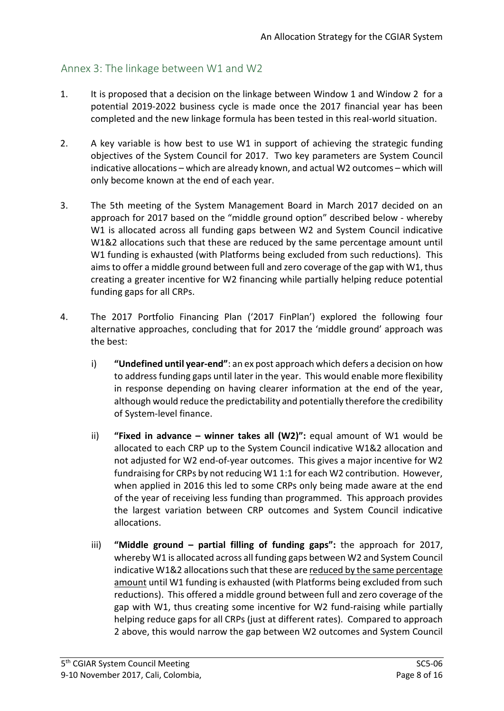# Annex 3: The linkage between W1 and W2

- 1. It is proposed that a decision on the linkage between Window 1 and Window 2 for a potential 2019-2022 business cycle is made once the 2017 financial year has been completed and the new linkage formula has been tested in this real-world situation.
- 2. A key variable is how best to use W1 in support of achieving the strategic funding objectives of the System Council for 2017. Two key parameters are System Council indicative allocations – which are already known, and actual W2 outcomes – which will only become known at the end of each year.
- 3. The 5th meeting of the System Management Board in March 2017 decided on an approach for 2017 based on the "middle ground option" described below - whereby W1 is allocated across all funding gaps between W2 and System Council indicative W1&2 allocations such that these are reduced by the same percentage amount until W1 funding is exhausted (with Platforms being excluded from such reductions). This aims to offer a middle ground between full and zero coverage of the gap with W1, thus creating a greater incentive for W2 financing while partially helping reduce potential funding gaps for all CRPs.
- 4. The 2017 Portfolio Financing Plan ('2017 FinPlan') explored the following four alternative approaches, concluding that for 2017 the 'middle ground' approach was the best:
	- i) **"Undefined until year-end"**: an ex post approach which defers a decision on how to address funding gaps until later in the year. This would enable more flexibility in response depending on having clearer information at the end of the year, although would reduce the predictability and potentially therefore the credibility of System-level finance.
	- ii) **"Fixed in advance – winner takes all (W2)":** equal amount of W1 would be allocated to each CRP up to the System Council indicative W1&2 allocation and not adjusted for W2 end-of-year outcomes. This gives a major incentive for W2 fundraising for CRPs by not reducing W1 1:1 for each W2 contribution. However, when applied in 2016 this led to some CRPs only being made aware at the end of the year of receiving less funding than programmed. This approach provides the largest variation between CRP outcomes and System Council indicative allocations.
	- iii) **"Middle ground – partial filling of funding gaps":** the approach for 2017, whereby W1 is allocated across all funding gaps between W2 and System Council indicative W1&2 allocations such that these are reduced by the same percentage amount until W1 funding is exhausted (with Platforms being excluded from such reductions). This offered a middle ground between full and zero coverage of the gap with W1, thus creating some incentive for W2 fund-raising while partially helping reduce gaps for all CRPs (just at different rates). Compared to approach 2 above, this would narrow the gap between W2 outcomes and System Council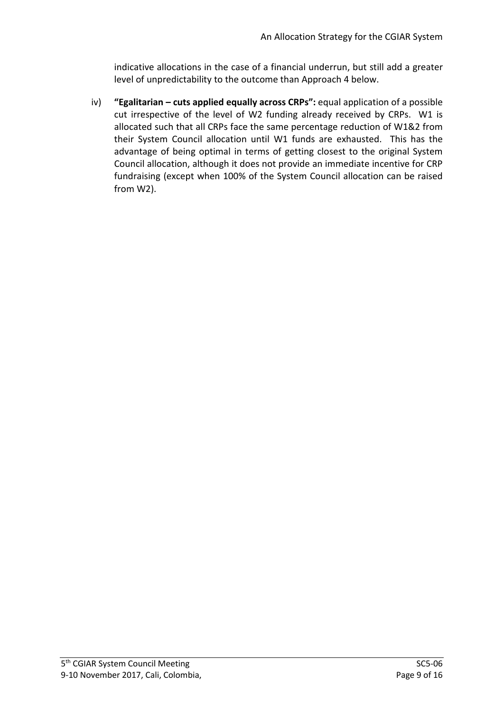indicative allocations in the case of a financial underrun, but still add a greater level of unpredictability to the outcome than Approach 4 below.

iv) **"Egalitarian – cuts applied equally across CRPs":** equal application of a possible cut irrespective of the level of W2 funding already received by CRPs. W1 is allocated such that all CRPs face the same percentage reduction of W1&2 from their System Council allocation until W1 funds are exhausted. This has the advantage of being optimal in terms of getting closest to the original System Council allocation, although it does not provide an immediate incentive for CRP fundraising (except when 100% of the System Council allocation can be raised from W2).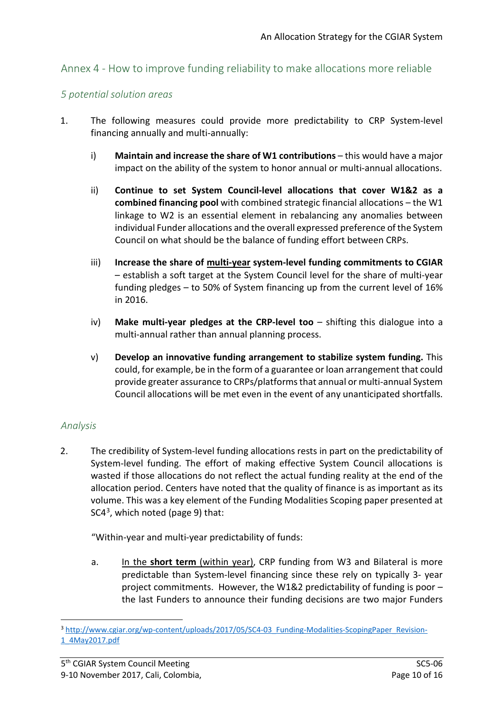# Annex 4 - How to improve funding reliability to make allocations more reliable

#### *5 potential solution areas*

- 1. The following measures could provide more predictability to CRP System-level financing annually and multi-annually:
	- i) **Maintain and increase the share of W1 contributions** this would have a major impact on the ability of the system to honor annual or multi-annual allocations.
	- ii) **Continue to set System Council-level allocations that cover W1&2 as a combined financing pool** with combined strategic financial allocations – the W1 linkage to W2 is an essential element in rebalancing any anomalies between individual Funder allocations and the overall expressed preference of the System Council on what should be the balance of funding effort between CRPs.
	- iii) **Increase the share of multi-year system-level funding commitments to CGIAR** – establish a soft target at the System Council level for the share of multi-year funding pledges – to 50% of System financing up from the current level of 16% in 2016.
	- iv) **Make multi-year pledges at the CRP-level too** shifting this dialogue into a multi-annual rather than annual planning process.
	- v) **Develop an innovative funding arrangement to stabilize system funding.** This could, for example, be in the form of a guarantee or loan arrangement that could provide greater assurance to CRPs/platforms that annual or multi-annual System Council allocations will be met even in the event of any unanticipated shortfalls.

### *Analysis*

2. The credibility of System-level funding allocations rests in part on the predictability of System-level funding. The effort of making effective System Council allocations is wasted if those allocations do not reflect the actual funding reality at the end of the allocation period. Centers have noted that the quality of finance is as important as its volume. This was a key element of the Funding Modalities Scoping paper presented at  $SC4<sup>3</sup>$ , which noted (page 9) that:

"Within-year and multi-year predictability of funds:

a. In the **short term** (within year), CRP funding from W3 and Bilateral is more predictable than System-level financing since these rely on typically 3- year project commitments. However, the W1&2 predictability of funding is poor – the last Funders to announce their funding decisions are two major Funders

<span id="page-9-0"></span><sup>&</sup>lt;sup>3</sup> [http://www.cgiar.org/wp-content/uploads/2017/05/SC4-03\\_Funding-Modalities-ScopingPaper\\_Revision-](http://www.cgiar.org/wp-content/uploads/2017/05/SC4-03_Funding-Modalities-ScopingPaper_Revision-1_4May2017.pdf)[1\\_4May2017.pdf](http://www.cgiar.org/wp-content/uploads/2017/05/SC4-03_Funding-Modalities-ScopingPaper_Revision-1_4May2017.pdf)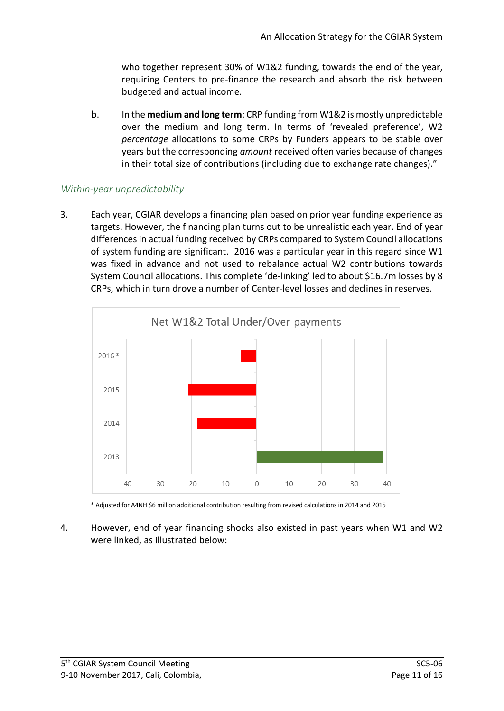who together represent 30% of W1&2 funding, towards the end of the year, requiring Centers to pre-finance the research and absorb the risk between budgeted and actual income.

b. In the **medium and long term**: CRP funding from W1&2 is mostly unpredictable over the medium and long term. In terms of 'revealed preference', W2 *percentage* allocations to some CRPs by Funders appears to be stable over years but the corresponding *amount* received often varies because of changes in their total size of contributions (including due to exchange rate changes)."

## *Within-year unpredictability*

3. Each year, CGIAR develops a financing plan based on prior year funding experience as targets. However, the financing plan turns out to be unrealistic each year. End of year differences in actual funding received by CRPs compared to System Council allocations of system funding are significant. 2016 was a particular year in this regard since W1 was fixed in advance and not used to rebalance actual W2 contributions towards System Council allocations. This complete 'de-linking' led to about \$16.7m losses by 8 CRPs, which in turn drove a number of Center-level losses and declines in reserves.



\* Adjusted for A4NH \$6 million additional contribution resulting from revised calculations in 2014 and 2015

4. However, end of year financing shocks also existed in past years when W1 and W2 were linked, as illustrated below: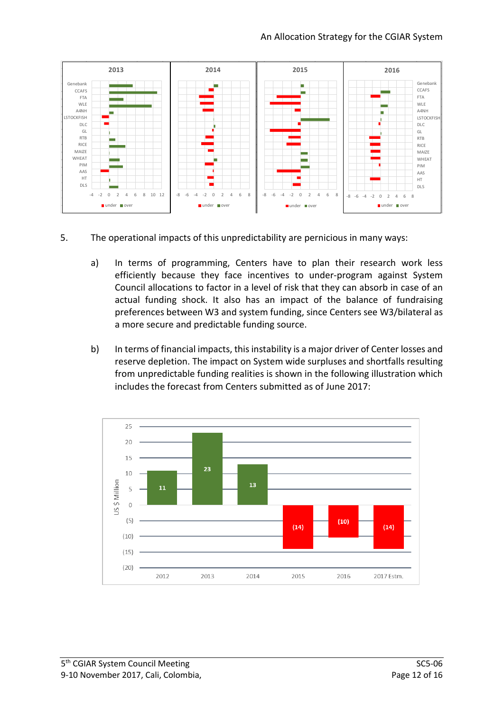

- 5. The operational impacts of this unpredictability are pernicious in many ways:
	- a) In terms of programming, Centers have to plan their research work less efficiently because they face incentives to under-program against System Council allocations to factor in a level of risk that they can absorb in case of an actual funding shock. It also has an impact of the balance of fundraising preferences between W3 and system funding, since Centers see W3/bilateral as a more secure and predictable funding source.
	- b) In terms of financial impacts, this instability is a major driver of Center losses and reserve depletion. The impact on System wide surpluses and shortfalls resulting from unpredictable funding realities is shown in the following illustration which includes the forecast from Centers submitted as of June 2017:

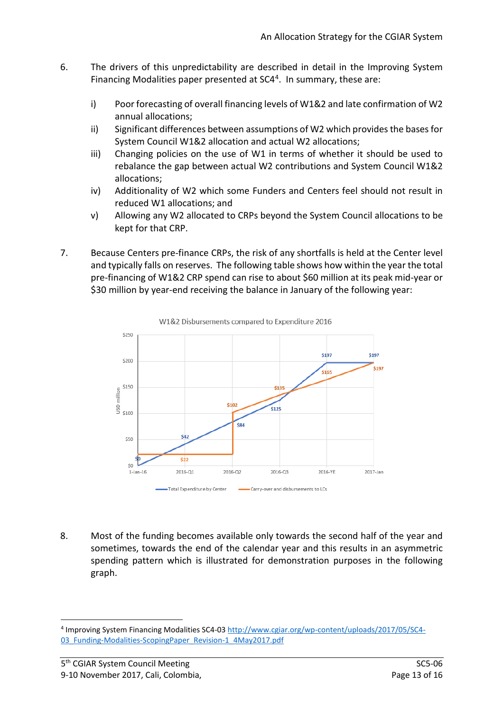- 6. The drivers of this unpredictability are described in detail in the Improving System Financing Modalities paper presented at  $SC4<sup>4</sup>$ . In summary, these are:
	- i) Poor forecasting of overall financing levels of W1&2 and late confirmation of W2 annual allocations;
	- ii) Significant differences between assumptions of W2 which provides the bases for System Council W1&2 allocation and actual W2 allocations;
	- iii) Changing policies on the use of W1 in terms of whether it should be used to rebalance the gap between actual W2 contributions and System Council W1&2 allocations;
	- iv) Additionality of W2 which some Funders and Centers feel should not result in reduced W1 allocations; and
	- v) Allowing any W2 allocated to CRPs beyond the System Council allocations to be kept for that CRP.
- 7. Because Centers pre-finance CRPs, the risk of any shortfalls is held at the Center level and typically falls on reserves. The following table shows how within the year the total pre-financing of W1&2 CRP spend can rise to about \$60 million at its peak mid-year or \$30 million by year-end receiving the balance in January of the following year:





8. Most of the funding becomes available only towards the second half of the year and sometimes, towards the end of the calendar year and this results in an asymmetric spending pattern which is illustrated for demonstration purposes in the following graph.

<span id="page-12-0"></span> <sup>4</sup> Improving System Financing Modalities SC4-03 [http://www.cgiar.org/wp-content/uploads/2017/05/SC4-](http://www.cgiar.org/wp-content/uploads/2017/05/SC4-03_Funding-Modalities-ScopingPaper_Revision-1_4May2017.pdf) 03 Funding-Modalities-ScopingPaper Revision-1\_4May2017.pdf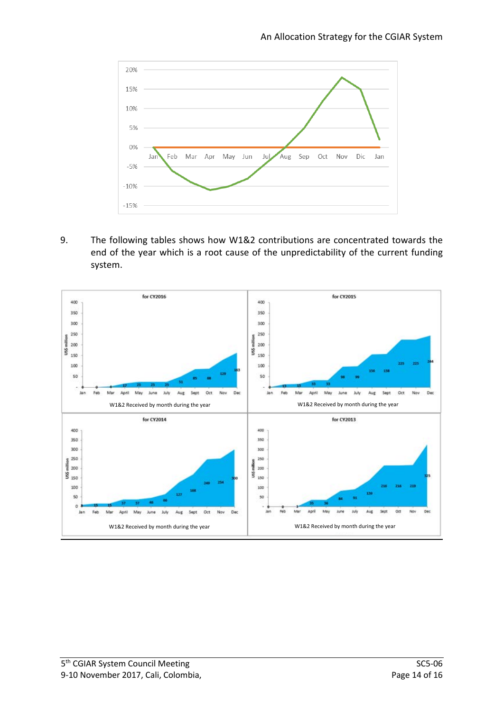

9. The following tables shows how W1&2 contributions are concentrated towards the end of the year which is a root cause of the unpredictability of the current funding system.

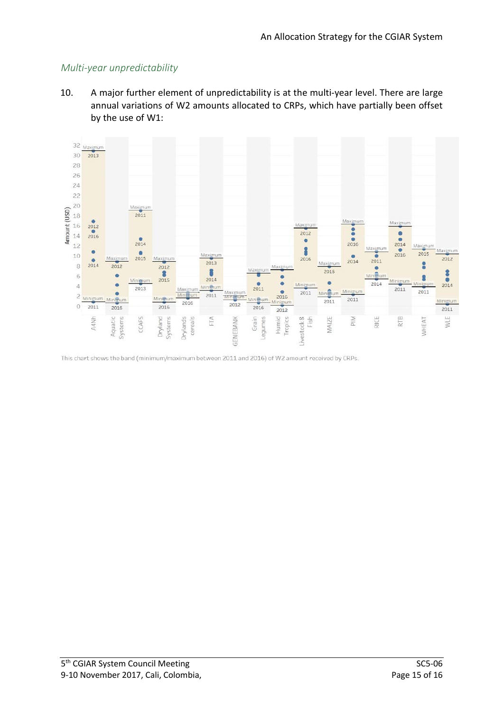## *Multi-year unpredictability*

10. A major further element of unpredictability is at the multi-year level. There are large annual variations of W2 amounts allocated to CRPs, which have partially been offset by the use of W1:



This chart shows the band (minimum/maximum between 2011 and 2016) of W2 amount received by CRPs.